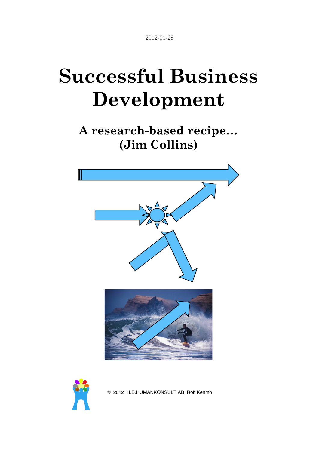2012-01-28

# **Successful Business Development**

**A research-based recipe… (Jim Collins)**





© 2012 H.E.HUMANKONSULT AB, Rolf Kenmo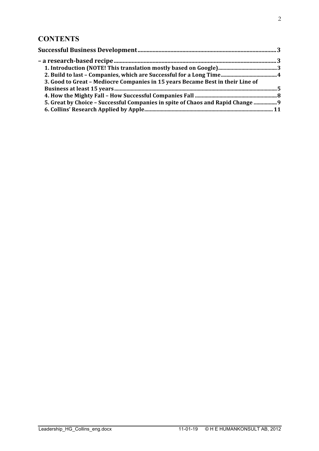#### **CONTENTS**

| 3. Good to Great - Mediocre Companies in 15 years Became Best in their Line of  |  |
|---------------------------------------------------------------------------------|--|
|                                                                                 |  |
|                                                                                 |  |
| 5. Great by Choice - Successful Companies in spite of Chaos and Rapid Change  9 |  |
|                                                                                 |  |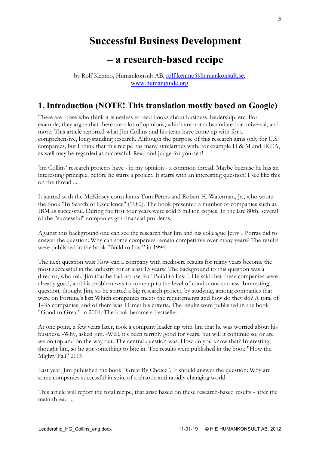## **Successful Business Development**

## **– a research-based recipe**

by Rolf Kenmo, Humankonsult AB, rolf.kenmo@humankonsult.se, www.humanguide.org

#### **1. Introduction (NOTE! This translation mostly based on Google)**

There are those who think it is useless to read books about business, leadership, etc. For example, they argue that there are a lot of opinions, which are not substantiated or universal, and more. This article reported what Jim Collins and his team have come up with for a comprehensive, long-standing research. Although the purpose of this research aims only for U.S. companies, but I think that this recipe has many similarities with, for example H & M and IKEA, as well may be regarded as successful. Read and judge for yourself!

Jim Collins' research projects have - in my opinion - a common thread. Maybe because he has an interesting principle, before he starts a project. It starts with an interesting question! I see like this on the thread ...

It started with the McKinsey consultants Tom Peters and Robert H. Waterman, Jr., who wrote the book "In Search of Excellence" (1982). The book presented a number of companies such as IBM as successful. During the first four years were sold 3 million copies. In the late 80th, several of the "successful" companies got financial problems.

Against this background one can see the research that Jim and his colleague Jerry I Porras did to answer the question: Why can some companies remain competitive over many years? The results were published in the book "Build to Last" in 1994.

The next question was: How can a company with mediocre results for many years become the most successful in the industry for at least 15 years? The background to this question was a director, who told Jim that he had no use for "Build to Last '. He said that these companies were already good, and his problem was to come up to the level of continuous success. Interesting question, thought Jim, so he started a big research project, by studying, among companies that were on Fortune's list: Which companies meets the requirements and how do they do? A total of 1435 companies, and of them was 11 met his criteria. The results were published in the book "Good to Great" in 2001. The book became a bestseller.

At one point, a few years later, took a company leader up with Jim that he was worried about his business. -Why, asked Jim. -Well, it's been terribly good for years, but will it continue so, or are we on top and on the way out. The central question was: How do you know that? Interesting, thought Jim, so he got something to bite in. The results were published in the book "How the Mighty Fall" 2009.

Last year, Jim published the book "Great By Choice". It should answer the question: Why are some companies successful in spite of a chaotic and rapidly changing world.

This article will report the total recipe, that arise based on these research-based results - after the main thread ...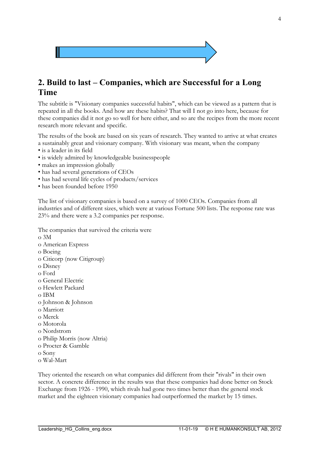

#### **2. Build to last – Companies, which are Successful for a Long Time**

The subtitle is "Visionary companies successful habits", which can be viewed as a pattern that is repeated in all the books. And how are these habits? That will I not go into here, because for these companies did it not go so well for here either, and so are the recipes from the more recent research more relevant and specific.

The results of the book are based on six years of research. They wanted to arrive at what creates a sustainably great and visionary company. With visionary was meant, when the company

- is a leader in its field
- is widely admired by knowledgeable businesspeople
- makes an impression globally
- has had several generations of CEOs
- has had several life cycles of products/services
- has been founded before 1950

The list of visionary companies is based on a survey of 1000 CEOs. Companies from all industries and of different sizes, which were at various Fortune 500 lists. The response rate was 23% and there were a 3.2 companies per response.

The companies that survived the criteria were o 3M o American Express o Boeing o Citicorp (now Citigroup) o Disney o Ford o General Electric o Hewlett Packard o IBM o Johnson & Johnson o Marriott o Merck o Motorola o Nordstrom o Philip Morris (now Altria) o Procter & Gamble o Sony

o Wal-Mart

They oriented the research on what companies did different from their "rivals" in their own sector. A concrete difference in the results was that these companies had done better on Stock Exchange from 1926 - 1990, which rivals had gone two times better than the general stock market and the eighteen visionary companies had outperformed the market by 15 times.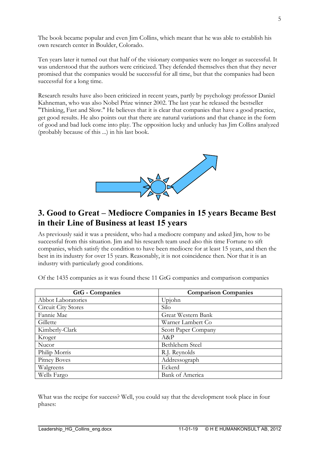The book became popular and even Jim Collins, which meant that he was able to establish his own research center in Boulder, Colorado.

Ten years later it turned out that half of the visionary companies were no longer as successful. It was understood that the authors were criticized. They defended themselves then that they never promised that the companies would be successful for all time, but that the companies had been successful for a long time.

Research results have also been criticized in recent years, partly by psychology professor Daniel Kahneman, who was also Nobel Prize winner 2002. The last year he released the bestseller "Thinking, Fast and Slow." He believes that it is clear that companies that have a good practice, get good results. He also points out that there are natural variations and that chance in the form of good and bad luck come into play. The opposition lucky and unlucky has Jim Collins analyzed (probably because of this ...) in his last book.



#### **3. Good to Great – Mediocre Companies in 15 years Became Best in their Line of Business at least 15 years**

As previously said it was a president, who had a mediocre company and asked Jim, how to be successful from this situation. Jim and his research team used also this time Fortune to sift companies, which satisfy the condition to have been mediocre for at least 15 years, and then the best in its industry for over 15 years. Reasonably, it is not coincidence then. Nor that it is an industry with particularly good conditions.

| <b>GtG</b> - Companies | <b>Comparison Companies</b> |
|------------------------|-----------------------------|
| Abbot Laboratories     | Upjohn                      |
| Circuit City Stores    | Silo                        |
| Fannie Mae             | Great Western Bank          |
| Gillette               | Warner Lambert Co           |
| Kimberly-Clark         | Scott Paper Company         |
| Kroger                 | $A\&P$                      |
| Nucor                  | Bethlehem Steel             |
| Philip Morris          | R.J. Reynolds               |
| Pitney Boves           | Addressograph               |
| Walgreens              | Eckerd                      |
| Wells Fargo            | <b>Bank of America</b>      |

Of the 1435 companies as it was found these 11 GtG companies and comparison companies

What was the recipe for success? Well, you could say that the development took place in four phases: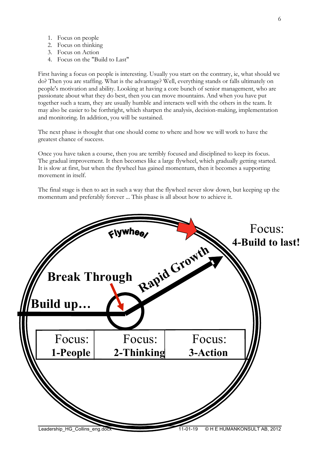- 1. Focus on people
- 2. Focus on thinking
- 3. Focus on Action
- 4. Focus on the "Build to Last"

First having a focus on people is interesting. Usually you start on the contrary, ie, what should we do? Then you are staffing. What is the advantage? Well, everything stands or falls ultimately on people's motivation and ability. Looking at having a core bunch of senior management, who are passionate about what they do best, then you can move mountains. And when you have put together such a team, they are usually humble and interacts well with the others in the team. It may also be easier to be forthright, which sharpen the analysis, decision-making, implementation and monitoring. In addition, you will be sustained.

The next phase is thought that one should come to where and how we will work to have the greatest chance of success.

Once you have taken a course, then you are terribly focused and disciplined to keep its focus. The gradual improvement. It then becomes like a large flywheel, which gradually getting started. It is slow at first, but when the flywheel has gained momentum, then it becomes a supporting movement in itself.

The final stage is then to act in such a way that the flywheel never slow down, but keeping up the momentum and preferably forever ... This phase is all about how to achieve it.

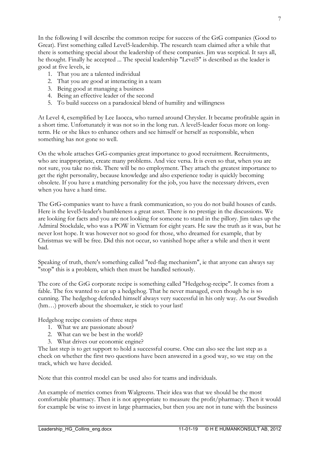In the following I will describe the common recipe for success of the GtG companies (Good to Great). First something called Level5-leadership. The research team claimed after a while that there is something special about the leadership of these companies. Jim was sceptical. It says all, he thought. Finally he accepted ... The special leadership "Level5" is described as the leader is good at five levels, ie

- 1. That you are a talented individual
- 2. That you are good at interacting in a team
- 3. Being good at managing a business
- 4. Being an effective leader of the second
- 5. To build success on a paradoxical blend of humility and willingness

At Level 4, exemplified by Lee Iaocca, who turned around Chrysler. It became profitable again in a short time. Unfortunately it was not so in the long run. A level5-leader focus more on longterm. He or she likes to enhance others and see himself or herself as responsible, when something has not gone so well.

On the whole attaches GtG-companies great importance to good recruitment. Recruitments, who are inappropriate, create many problems. And vice versa. It is even so that, when you are not sure, you take no risk. There will be no employment. They attach the greatest importance to get the right personality, because knowledge and also experience today is quickly becoming obsolete. If you have a matching personality for the job, you have the necessary drivers, even when you have a hard time.

The GtG-companies want to have a frank communication, so you do not build houses of cards. Here is the level5-leader's humbleness a great asset. There is no prestige in the discussions. We are looking for facts and you are not looking for someone to stand in the pillory. Jim takes up the Admiral Stockdale, who was a POW in Vietnam for eight years. He saw the truth as it was, but he never lost hope. It was however not so good for those, who dreamed for example, that by Christmas we will be free. Did this not occur, so vanished hope after a while and then it went bad.

Speaking of truth, there's something called "red-flag mechanism", ie that anyone can always say "stop" this is a problem, which then must be handled seriously.

The core of the GtG corporate recipe is something called "Hedgehog-recipe". It comes from a fable. The fox wanted to eat up a hedgehog. That he never managed, even though he is so cunning. The hedgehog defended himself always very successful in his only way. As our Swedish (hm…) proverb about the shoemaker, ie stick to your last!

Hedgehog recipe consists of three steps

- 1. What we are passionate about?
- 2. What can we be best in the world?
- 3. What drives our economic engine?

The last step is to get support to hold a successful course. One can also see the last step as a check on whether the first two questions have been answered in a good way, so we stay on the track, which we have decided.

Note that this control model can be used also for teams and individuals.

An example of metrics comes from Walgreens. Their idea was that we should be the most comfortable pharmacy. Then it is not appropriate to measure the profit/pharmacy. Then it would for example be wise to invest in large pharmacies, but then you are not in tune with the business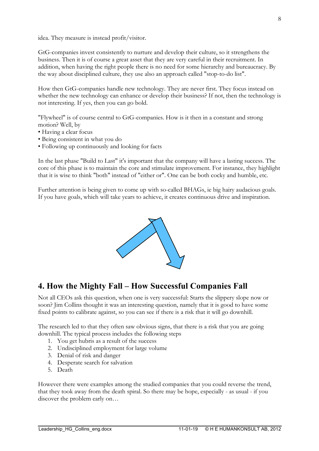idea. They measure is instead profit/visitor.

GtG-companies invest consistently to nurture and develop their culture, so it strengthens the business. Then it is of course a great asset that they are very careful in their recruitment. In addition, when having the right people there is no need for some hierarchy and bureaucracy. By the way about disciplined culture, they use also an approach called "stop-to-do list".

How then GtG-companies handle new technology. They are never first. They focus instead on whether the new technology can enhance or develop their business? If not, then the technology is not interesting. If yes, then you can go bold.

"Flywheel" is of course central to GtG-companies. How is it then in a constant and strong motion? Well, by

- Having a clear focus
- Being consistent in what you do
- Following up continuously and looking for facts

In the last phase "Build to Last" it's important that the company will have a lasting success. The core of this phase is to maintain the core and stimulate improvement. For instance, they highlight that it is wise to think "both" instead of "either or". One can be both cocky and humble, etc.

Further attention is being given to come up with so-called BHAGs, ie big hairy audacious goals. If you have goals, which will take years to achieve, it creates continuous drive and inspiration.



#### **4. How the Mighty Fall – How Successful Companies Fall**

Not all CEOs ask this question, when one is very successful: Starts the slippery slope now or soon? Jim Collins thought it was an interesting question, namely that it is good to have some fixed points to calibrate against, so you can see if there is a risk that it will go downhill.

The research led to that they often saw obvious signs, that there is a risk that you are going downhill. The typical process includes the following steps

- 1. You get hubris as a result of the success
- 2. Undisciplined employment for large volume
- 3. Denial of risk and danger
- 4. Desperate search for salvation
- 5. Death

However there were examples among the studied companies that you could reverse the trend, that they took away from the death spiral. So there may be hope, especially - as usual - if you discover the problem early on…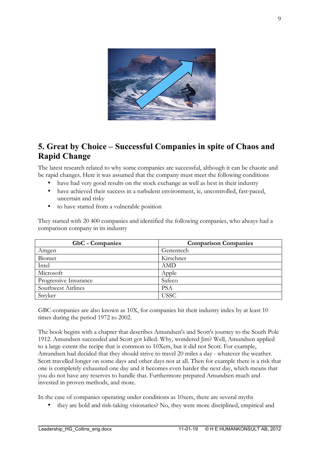

### **5. Great by Choice – Successful Companies in spite of Chaos and Rapid Change**

The latest research related to why some companies are successful, although it can be chaotic and be rapid changes. Here it was assumed that the company must meet the following conditions

- have had very good results on the stock exchange as well as best in their industry
- have achieved their success in a turbulent environment, ie, uncontrolled, fast-paced, uncertain and risky
- to have started from a vulnerable position

They started with 20 400 companies and identified the following companies, who always had a comparison company in its industry

| <b>GbC</b> - Companies | <b>Comparison Companies</b> |
|------------------------|-----------------------------|
| Amgen                  | Genentech                   |
| Biomet                 | Kirschner                   |
| Intel                  | AMD                         |
| Microsoft              | Apple                       |
| Progressive Insurance  | Safeco                      |
| Southwest Airlines     | <b>PSA</b>                  |
| Stryker                | <b>USSC</b>                 |

GBC-companies are also known as 10X, for companies hit their industry index by at least 10 times during the period 1972 to 2002.

The book begins with a chapter that describes Amundsen's and Scott's journey to the South Pole 1912. Amundsen succeeded and Scott got killed. Why, wondered Jim? Well, Amundsen applied to a large extent the recipe that is common to 10Xers, but it did not Scott. For example, Amundsen had decided that they should strive to travel 20 miles a day - whatever the weather. Scott travelled longer on some days and other days not at all. Then for example there is a risk that one is completely exhausted one day and it becomes even harder the next day, which means that you do not have any reserves to handle that. Furthermore prepared Amundsen much and invested in proven methods, and more.

In the case of companies operating under conditions as 10xers, there are several myths

• they are bold and risk-taking visionaries? No, they were more disciplined, empirical and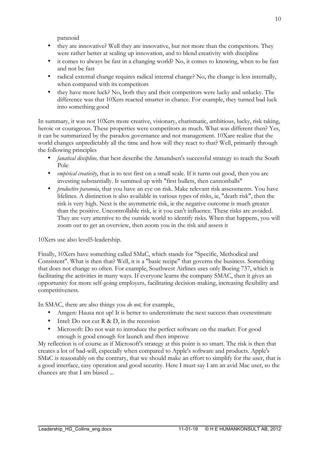paranoid

- they are innovative? Well they are innovative, but not more than the competitors. They were rather better at scaling up innovation, and to blend creativity with discipline
- it comes to always be fast in a changing world? No, it comes to knowing, when to be fast and not be fast
- radical external change requires radical internal change? No, the change is less internally, when compared with its competitors
- they have more luck? No, both they and their competitors were lucky and unlucky. The difference was that 10Xers reacted smarter in chance. For example, they turned bad luck into something good

In summary, it was not 10Xers more creative, visionary, charismatic, ambitious, lucky, risk taking, heroic or courageous. These properties were competitors as much. What was different then? Yes, it can be summarized by the paradox governance and not management. 10Xare realize that the world changes unpredictably all the time and how will they react to that? Well, primarily through the following principles

- *fanatical discipline,* that best describe the Amundsen's successful strategy to reach the South Pole
- *empirical creativity*, that is to test first on a small scale. If it turns out good, then you are investing substantially. It summed up with "first bullets, then cannonballs"
- *productive paranoia*, that you have an eye on risk. Make relevant risk assessments. You have lifelines. A distinction is also available in various types of risks, ie, "death risk", then the risk is very high. Next is the asymmetric risk, ie the negative outcome is much greater than the positive. Uncontrollable risk, ie it you can't influence. These risks are avoided. They are very attentive to the outside world to identify risks. When that happens, you will zoom out to get an overview, then zoom you in the risk and assess it

10Xers use also level5-leadership.

Finally, 10Xers have something called SMaC, which stands for "Specific, Methodical and Consistent". What is then that? Well, it is a "basic recipe" that governs the business. Something that does not change so often. For example, Southwest Airlines uses only Boeing 737, which is facilitating the activities in many ways. If everyone learns the company SMAC, then it gives an opportunity for more self-going employers, facilitating decision-making, increasing flexibility and competitiveness.

In SMAC, there are also things you *do not,* for example,

- Amgen: Hausa not up! It is better to underestimate the next success than overestimate
- Intel: Do not cut  $R \& D$ , in the recession
- Microsoft: Do not wait to introduce the perfect software on the market. For good enough is good enough for launch and then improve

My reflection is of course as if Microsoft's strategy at this point is so smart. The risk is then that creates a lot of bad-will, especially when compared to Apple's software and products. Apple's SMaC is reasonably on the contrary, that we should make an effort to simplify for the user, that is a good interface, easy operation and good security. Here I must say I am an avid Mac user, so the chances are that I am biased ...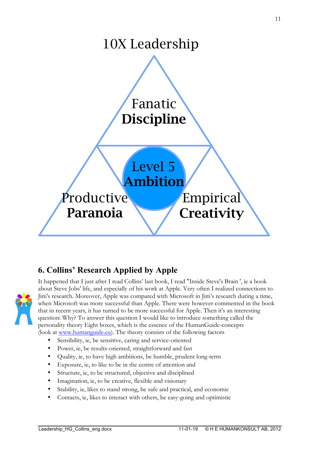

## **6. Collins' Research Applied by Apple**



It happened that I just after I read Collins' last book, I read "Inside Steve's Brain ', ie a book about Steve Jobs' life, and especially of his work at Apple. Very often I realized connections to Jim's research. Moreover, Apple was compared with Microsoft in Jim's research during a time, when Microsoft was more successful than Apple. There were however commented in the book that in recent years, it has turned to be more successful for Apple. Then it's an interesting question: Why? To answer this question I would like to introduce something called the personality theory Eight boxes, which is the essence of the HumanGuide-concepts (look at www.humanguide.eu). The theory consists of the following factors

- Sensibility, ie, be sensitive, caring and service-oriented
- Power, ie, be results-oriented, straightforward and fast
- Quality, ie, to have high ambitions, be humble, prudent long-term
- Exposure, ie, to like to be in the centre of attention and
- Structure, ie, to be structured, objective and disciplined
- Imagination, ie, to be creative, flexible and visionary
- Stability, ie, likes to stand strong, be safe and practical, and economic
- Contacts, ie, likes to interact with others, be easy-going and optimistic